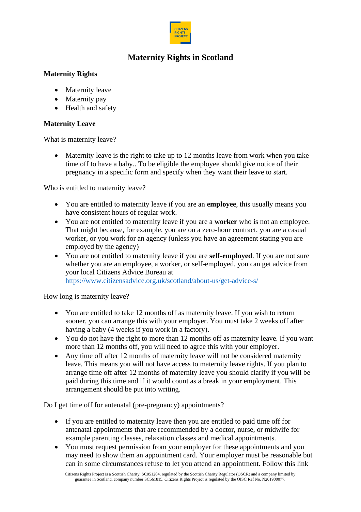

# **Maternity Rights in Scotland**

### **Maternity Rights**

- Maternity leave
- Maternity pay
- Health and safety

## **Maternity Leave**

What is maternity leave?

• Maternity leave is the right to take up to 12 months leave from work when you take time off to have a baby.. To be eligible the employee should give notice of their pregnancy in a specific form and specify when they want their leave to start.

Who is entitled to maternity leave?

- You are entitled to maternity leave if you are an **employee**, this usually means you have consistent hours of regular work.
- You are not entitled to maternity leave if you are a **worker** who is not an employee. That might because, for example, you are on a zero-hour contract, you are a casual worker, or you work for an agency (unless you have an agreement stating you are employed by the agency)
- You are not entitled to maternity leave if you are **self-employed**. If you are not sure whether you are an employee, a worker, or self-employed, you can get advice from your local Citizens Advice Bureau at <https://www.citizensadvice.org.uk/scotland/about-us/get-advice-s/>

How long is maternity leave?

- You are entitled to take 12 months off as maternity leave. If you wish to return sooner, you can arrange this with your employer. You must take 2 weeks off after having a baby (4 weeks if you work in a factory).
- You do not have the right to more than 12 months off as maternity leave. If you want more than 12 months off, you will need to agree this with your employer.
- Any time off after 12 months of maternity leave will not be considered maternity leave. This means you will not have access to maternity leave rights. If you plan to arrange time off after 12 months of maternity leave you should clarify if you will be paid during this time and if it would count as a break in your employment. This arrangement should be put into writing.

Do I get time off for antenatal (pre-pregnancy) appointments?

- If you are entitled to maternity leave then you are entitled to paid time off for antenatal appointments that are recommended by a doctor, nurse, or midwife for example parenting classes, relaxation classes and medical appointments.
- You must request permission from your employer for these appointments and you may need to show them an appointment card. Your employer must be reasonable but can in some circumstances refuse to let you attend an appointment. Follow this link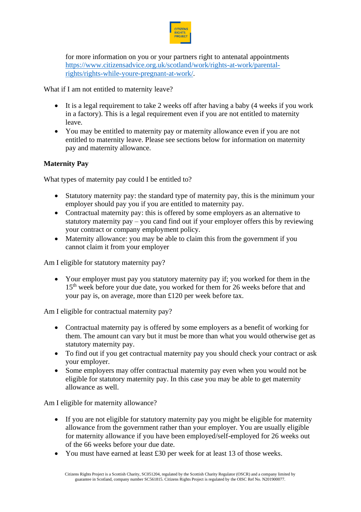

for more information on you or your partners right to antenatal appointments [https://www.citizensadvice.org.uk/scotland/work/rights-at-work/parental](https://www.citizensadvice.org.uk/scotland/work/rights-at-work/parental-rights/rights-while-youre-pregnant-at-work/)[rights/rights-while-youre-pregnant-at-work/.](https://www.citizensadvice.org.uk/scotland/work/rights-at-work/parental-rights/rights-while-youre-pregnant-at-work/)

What if I am not entitled to maternity leave?

- It is a legal requirement to take 2 weeks off after having a baby (4 weeks if you work in a factory). This is a legal requirement even if you are not entitled to maternity leave.
- You may be entitled to maternity pay or maternity allowance even if you are not entitled to maternity leave. Please see sections below for information on maternity pay and maternity allowance.

### **Maternity Pay**

What types of maternity pay could I be entitled to?

- Statutory maternity pay: the standard type of maternity pay, this is the minimum your employer should pay you if you are entitled to maternity pay.
- Contractual maternity pay: this is offered by some employers as an alternative to statutory maternity pay – you cand find out if your employer offers this by reviewing your contract or company employment policy.
- Maternity allowance: you may be able to claim this from the government if you cannot claim it from your employer

Am I eligible for statutory maternity pay?

• Your employer must pay you statutory maternity pay if; you worked for them in the 15<sup>th</sup> week before your due date, you worked for them for 26 weeks before that and your pay is, on average, more than £120 per week before tax.

Am I eligible for contractual maternity pay?

- Contractual maternity pay is offered by some employers as a benefit of working for them. The amount can vary but it must be more than what you would otherwise get as statutory maternity pay.
- To find out if you get contractual maternity pay you should check your contract or ask your employer.
- Some employers may offer contractual maternity pay even when you would not be eligible for statutory maternity pay. In this case you may be able to get maternity allowance as well.

Am I eligible for maternity allowance?

- If you are not eligible for statutory maternity pay you might be eligible for maternity allowance from the government rather than your employer. You are usually eligible for maternity allowance if you have been employed/self-employed for 26 weeks out of the 66 weeks before your due date.
- You must have earned at least £30 per week for at least 13 of those weeks.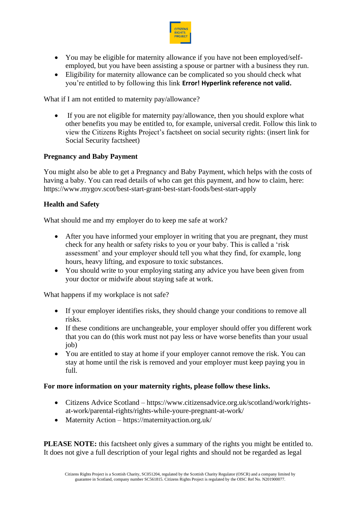

- You may be eligible for maternity allowance if you have not been employed/selfemployed, but you have been assisting a spouse or partner with a business they run.
- Eligibility for maternity allowance can be complicated so you should check what you're entitled to by following this link **Error! Hyperlink reference not valid.**

What if I am not entitled to maternity pay/allowance?

If you are not eligible for maternity pay/allowance, then you should explore what other benefits you may be entitled to, for example, universal credit. Follow this link to view the Citizens Rights Project's factsheet on social security rights: (insert link for Social Security factsheet)

### **Pregnancy and Baby Payment**

You might also be able to get a Pregnancy and Baby Payment, which helps with the costs of having a baby. You can read details of who can get this payment, and how to claim, here: https://www.mygov.scot/best-start-grant-best-start-foods/best-start-apply

#### **Health and Safety**

What should me and my employer do to keep me safe at work?

- After you have informed your employer in writing that you are pregnant, they must check for any health or safety risks to you or your baby. This is called a 'risk assessment' and your employer should tell you what they find, for example, long hours, heavy lifting, and exposure to toxic substances.
- You should write to your employing stating any advice you have been given from your doctor or midwife about staying safe at work.

What happens if my workplace is not safe?

- If your employer identifies risks, they should change your conditions to remove all risks.
- If these conditions are unchangeable, your employer should offer you different work that you can do (this work must not pay less or have worse benefits than your usual job)
- You are entitled to stay at home if your employer cannot remove the risk. You can stay at home until the risk is removed and your employer must keep paying you in full.

#### **For more information on your maternity rights, please follow these links.**

- Citizens Advice Scotland https://www.citizensadvice.org.uk/scotland/work/rightsat-work/parental-rights/rights-while-youre-pregnant-at-work/
- Maternity Action https://maternityaction.org.uk/

**PLEASE NOTE:** this factsheet only gives a summary of the rights you might be entitled to. It does not give a full description of your legal rights and should not be regarded as legal